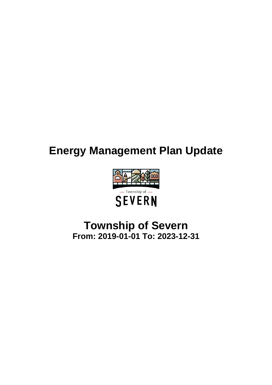# **Energy Management Plan Update**



## **Township of Severn From: 2019-01-01 To: 2023-12-31**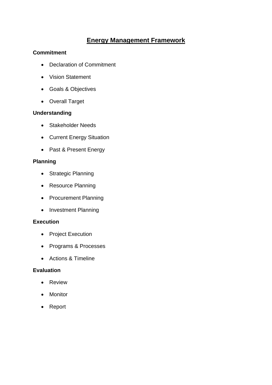## **Energy Management Framework**

#### **Commitment**

- Declaration of Commitment
- Vision Statement
- Goals & Objectives
- Overall Target

#### **Understanding**

- Stakeholder Needs
- Current Energy Situation
- Past & Present Energy

#### **Planning**

- Strategic Planning
- Resource Planning
- Procurement Planning
- Investment Planning

#### **Execution**

- Project Execution
- Programs & Processes
- Actions & Timeline

#### **Evaluation**

- Review
- Monitor
- Report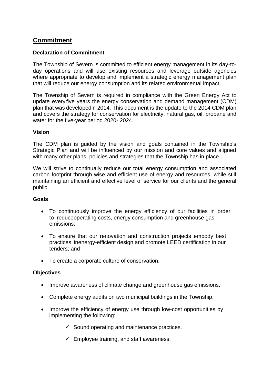## **Commitment**

#### **Declaration of Commitment**

The Township of Severn is committed to efficient energy management in its day-today operations and will use existing resources and leverage outside agencies where appropriate to develop and implement a strategic energy management plan that will reduce our energy consumption and its related environmental impact.

The Township of Severn is required in compliance with the Green Energy Act to update every five years the energy conservation and demand management (CDM) plan that was developedin 2014. This document is the update to the 2014 CDM plan and covers the strategy for conservation for electricity, natural gas, oil, propane and water for the five-year period 2020- 2024.

#### **Vision**

The CDM plan is guided by the vision and goals contained in the Township's Strategic Plan and will be influenced by our mission and core values and aligned with many other plans, policies and strategies that the Township has in place.

We will strive to continually reduce our total energy consumption and associated carbon footprint through wise and efficient use of energy and resources, while still maintaining an efficient and effective level of service for our clients and the general public.

#### **Goals**

- To continuously improve the energy efficiency of our facilities in order to reduceoperating costs, energy consumption and greenhouse gas emissions;
- To ensure that our renovation and construction projects embody best practices inenergy-efficient design and promote LEED certification in our tenders; and
- To create a corporate culture of conservation.

#### **Objectives**

- Improve awareness of climate change and greenhouse gas emissions.
- Complete energy audits on two municipal buildings in the Township.
- Improve the efficiency of energy use through low-cost opportunities by implementing the following:
	- $\checkmark$  Sound operating and maintenance practices.
	- $\checkmark$  Employee training, and staff awareness.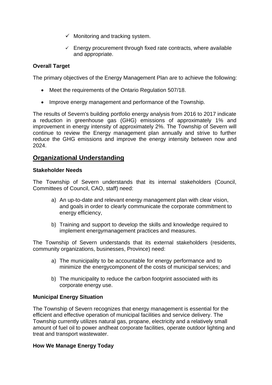- $\checkmark$  Monitoring and tracking system.
- $\checkmark$  Energy procurement through fixed rate contracts, where available and appropriate.

#### **Overall Target**

The primary objectives of the Energy Management Plan are to achieve the following:

- Meet the requirements of the Ontario Regulation 507/18.
- Improve energy management and performance of the Township.

The results of Severn's building portfolio energy analysis from 2016 to 2017 indicate a reduction in greenhouse gas (GHG) emissions of approximately 1% and improvement in energy intensity of approximately 2%. The Township of Severn will continue to review the Energy management plan annually and strive to further reduce the GHG emissions and improve the energy intensity between now and 2024.

## **Organizational Understanding**

#### **Stakeholder Needs**

The Township of Severn understands that its internal stakeholders (Council, Committees of Council, CAO, staff) need:

- a) An up-to-date and relevant energy management plan with clear vision, and goals in order to clearly communicate the corporate commitment to energy efficiency,
- b) Training and support to develop the skills and knowledge required to implement energymanagement practices and measures.

The Township of Severn understands that its external stakeholders (residents, community organizations, businesses, Province) need:

- a) The municipality to be accountable for energy performance and to minimize the energycomponent of the costs of municipal services; and
- b) The municipality to reduce the carbon footprint associated with its corporate energy use.

#### **Municipal Energy Situation**

The Township of Severn recognizes that energy management is essential for the efficient and effective operation of municipal facilities and service delivery. The Township currently utilizes natural gas, propane, electricity and a relatively small amount of fuel oil to power andheat corporate facilities, operate outdoor lighting and treat and transport wastewater.

#### **How We Manage Energy Today**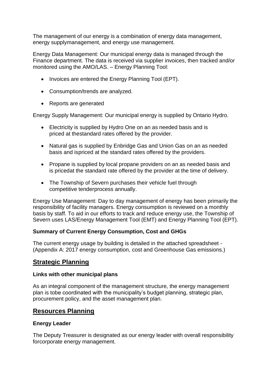The management of our energy is a combination of energy data management, energy supplymanagement, and energy use management.

Energy Data Management: Our municipal energy data is managed through the Finance department. The data is received via supplier invoices, then tracked and/or monitored using the AMO/LAS. – Energy Planning Tool:

- Invoices are entered the Energy Planning Tool (EPT).
- Consumption/trends are analyzed.
- Reports are generated

Energy Supply Management: Our municipal energy is supplied by Ontario Hydro.

- Electricity is supplied by Hydro One on an as needed basis and is priced at thestandard rates offered by the provider.
- Natural gas is supplied by Enbridge Gas and Union Gas on an as needed basis and ispriced at the standard rates offered by the providers.
- Propane is supplied by local propane providers on an as needed basis and is pricedat the standard rate offered by the provider at the time of delivery.
- The Township of Severn purchases their vehicle fuel through competitive tenderprocess annually.

Energy Use Management: Day to day management of energy has been primarily the responsibility of facility managers. Energy consumption is reviewed on a monthly basis by staff. To aid in our efforts to track and reduce energy use, the Township of Severn uses LAS/Energy Management Tool (EMT) and Energy Planning Tool (EPT).

#### **Summary of Current Energy Consumption, Cost and GHGs**

The current energy usage by building is detailed in the attached spreadsheet - (Appendix A: 2017 energy consumption, cost and Greenhouse Gas emissions.)

## **Strategic Planning**

#### **Links with other municipal plans**

As an integral component of the management structure, the energy management plan is tobe coordinated with the municipality's budget planning, strategic plan, procurement policy, and the asset management plan.

#### **Resources Planning**

#### **Energy Leader**

The Deputy Treasurer is designated as our energy leader with overall responsibility forcorporate energy management.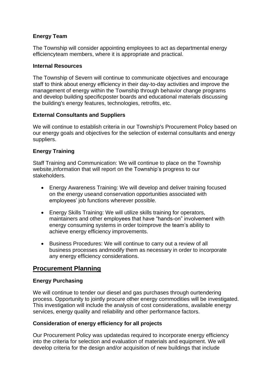#### **Energy Team**

The Township will consider appointing employees to act as departmental energy efficiencyteam members, where it is appropriate and practical.

#### **Internal Resources**

The Township of Severn will continue to communicate objectives and encourage staff to think about energy efficiency in their day-to-day activities and improve the management of energy within the Township through behavior change programs and develop building specificposter boards and educational materials discussing the building's energy features, technologies, retrofits, etc.

#### **External Consultants and Suppliers**

We will continue to establish criteria in our Township's Procurement Policy based on our energy goals and objectives for the selection of external consultants and energy suppliers.

#### **Energy Training**

Staff Training and Communication: We will continue to place on the Township website,information that will report on the Township's progress to our stakeholders.

- Energy Awareness Training: We will develop and deliver training focused on the energy useand conservation opportunities associated with employees' job functions wherever possible.
- Energy Skills Training: We will utilize skills training for operators, maintainers and other employees that have "hands-on" involvement with energy consuming systems in order toimprove the team's ability to achieve energy efficiency improvements.
- Business Procedures: We will continue to carry out a review of all business processes andmodify them as necessary in order to incorporate any energy efficiency considerations.

## **Procurement Planning**

#### **Energy Purchasing**

We will continue to tender our diesel and gas purchases through ourtendering process. Opportunity to jointly procure other energy commodities will be investigated. This investigation will include the analysis of cost considerations, available energy services, energy quality and reliability and other performance factors.

#### **Consideration of energy efficiency for all projects**

Our Procurement Policy was updatedas required to incorporate energy efficiency into the criteria for selection and evaluation of materials and equipment. We will develop criteria for the design and/or acquisition of new buildings that include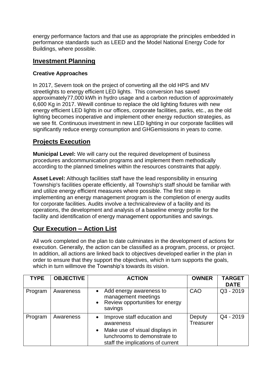energy performance factors and that use as appropriate the principles embedded in performance standards such as LEED and the Model National Energy Code for Buildings, where possible.

## **Investment Planning**

#### **Creative Approaches**

In 2017, Severn took on the project of converting all the old HPS and MV streetlights to energy efficient LED lights. This conversion has saved approximately77,000 kWh in hydro usage and a carbon reduction of approximately 6,600 Kg in 2017. Wewill continue to replace the old lighting fixtures with new energy efficient LED lights in our offices, corporate facilities, parks, etc., as the old lighting becomes inoperative and implement other energy reduction strategies, as we see fit. Continuous investment in new LED lighting in our corporate facilities will significantly reduce energy consumption and GHGemissions in years to come.

## **Projects Execution**

**Municipal Level:** We will carry out the required development of business procedures andcommunication programs and implement them methodically according to the planned timelines within the resources constraints that apply.

**Asset Level:** Although facilities staff have the lead responsibility in ensuring Township's facilities operate efficiently, all Township's staff should be familiar with and utilize energy efficient measures where possible. The first step in implementing an energy management program is the completion of energy audits for corporate facilities. Audits involve a technicalreview of a facility and its operations, the development and analysis of a baseline energy profile for the facility and identification of energy management opportunities and savings.

## **Our Execution – Action List**

All work completed on the plan to date culminates in the development of actions for execution. Generally, the action can be classified as a program, process, or project. In addition, all actions are linked back to objectives developed earlier in the plan in order to ensure that they support the objectives, which in turn supports the goals, which in turn willmove the Township's towards its vision.

| <b>TYPE</b> | <b>OBJECTIVE</b> | <b>ACTION</b>                                                                                                                                                             | <b>OWNER</b>               | <b>TARGET</b><br><b>DATE</b> |
|-------------|------------------|---------------------------------------------------------------------------------------------------------------------------------------------------------------------------|----------------------------|------------------------------|
| Program     | Awareness        | Add energy awareness to<br>management meetings<br>Review opportunities for energy<br>$\bullet$<br>savings                                                                 | CAO                        | $Q3 - 2019$                  |
| Program     | Awareness        | Improve staff education and<br>$\bullet$<br>awareness<br>Make use of visual displays in<br>$\bullet$<br>lunchrooms to demonstrate to<br>staff the implications of current | Deputy<br><b>Treasurer</b> | Q4 - 2019                    |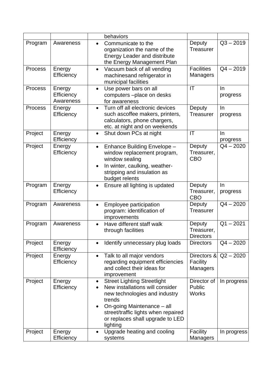|                |                                   |                                     | behaviors                                                                                                                                                                                                                             |                                            |                   |
|----------------|-----------------------------------|-------------------------------------|---------------------------------------------------------------------------------------------------------------------------------------------------------------------------------------------------------------------------------------|--------------------------------------------|-------------------|
| Program        | Awareness                         | $\bullet$                           | Communicate to the<br>organization the name of the<br><b>Energy Leader and distribute</b><br>the Energy Management Plan                                                                                                               | Deputy<br><b>Treasurer</b>                 | $Q3 - 2019$       |
| <b>Process</b> | Energy<br>Efficiency              | $\bullet$                           | Vacuum back of all vending<br>machinesand refrigerator in<br>municipal facilities                                                                                                                                                     | <b>Facilities</b><br><b>Managers</b>       | $Q4 - 2019$       |
| <b>Process</b> | Energy<br>Efficiency<br>Awareness | $\bullet$                           | Use power bars on all<br>computers -place on desks<br>for awareness                                                                                                                                                                   | IT                                         | $\ln$<br>progress |
| Process        | Energy<br>Efficiency              | $\bullet$                           | Turn off all electronic devices<br>such ascoffee makers, printers,<br>calculators, phone chargers,<br>etc. at night and on weekends                                                                                                   | Deputy<br><b>Treasurer</b>                 | $\ln$<br>progress |
| Project        | Energy<br>Efficiency              | $\bullet$                           | Shut down PCs at night                                                                                                                                                                                                                | IT                                         | $\ln$<br>progress |
| Project        | Energy<br>Efficiency              | $\bullet$<br>$\bullet$              | Enhance Building Envelope -<br>window replacement program,<br>window sealing<br>In winter, caulking, weather-<br>stripping and insulation as<br>budget relents                                                                        | Deputy<br>Treasurer,<br><b>CBO</b>         | $Q4 - 2020$       |
| Program        | Energy<br>Efficiency              | $\bullet$                           | Ensure all lighting is updated                                                                                                                                                                                                        | Deputy<br>Treasurer,<br><b>CBO</b>         | $\ln$<br>progress |
| Program        | Awareness                         | $\bullet$                           | Employee participation<br>program: identification of<br>improvements                                                                                                                                                                  | Deputy<br>Treasurer                        | $Q4 - 2020$       |
| Program        | Awareness                         | $\bullet$                           | Have different staff walk<br>through facilities                                                                                                                                                                                       | Deputy<br>Treasurer,<br><b>Directors</b>   | $Q1 - 2021$       |
| Project        | Energy<br>Efficiency              | $\bullet$                           | Identify unnecessary plug loads                                                                                                                                                                                                       | <b>Directors</b>                           | $Q4 - 2020$       |
| Project        | Energy<br>Efficiency              | $\bullet$                           | Talk to all major vendors<br>regarding equipment efficiencies<br>and collect their ideas for<br>improvement                                                                                                                           | Directors &<br>Facility<br><b>Managers</b> | $Q2 - 2020$       |
| Project        | Energy<br>Efficiency              | $\bullet$<br>$\bullet$<br>$\bullet$ | <b>Street Lighting Streetlight</b><br>New installations will consider<br>new technologies and industry<br>trends<br>On-going Maintenance - all<br>street/traffic lights when repaired<br>or replaces shall upgrade to LED<br>lighting | Director of<br>Public<br><b>Works</b>      | In progress       |
| Project        | Energy<br>Efficiency              | $\bullet$                           | Upgrade heating and cooling<br>systems                                                                                                                                                                                                | Facility<br><b>Managers</b>                | In progress       |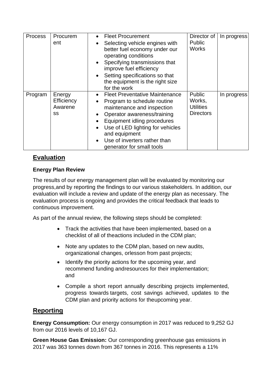| <b>Process</b> | Procurem<br>ent                       | $\bullet$<br>$\bullet$<br>$\bullet$<br>$\bullet$                           | <b>Fleet Procurement</b><br>Selecting vehicle engines with<br>better fuel economy under our<br>operating conditions<br>Specifying transmissions that<br>improve fuel efficiency<br>Setting specifications so that<br>the equipment is the right size<br>for the work               | Director of<br><b>Public</b><br><b>Works</b>             | In progress |
|----------------|---------------------------------------|----------------------------------------------------------------------------|------------------------------------------------------------------------------------------------------------------------------------------------------------------------------------------------------------------------------------------------------------------------------------|----------------------------------------------------------|-------------|
| Program        | Energy<br>Efficiency<br>Awarene<br>SS | $\bullet$<br>$\bullet$<br>$\bullet$<br>$\bullet$<br>$\bullet$<br>$\bullet$ | <b>Fleet Preventative Maintenance</b><br>Program to schedule routine<br>maintenance and inspection<br>Operator awareness/training<br>Equipment idling procedures<br>Use of LED lighting for vehicles<br>and equipment<br>Use of inverters rather than<br>generator for small tools | Public<br>Works,<br><b>Utilities</b><br><b>Directors</b> | In progress |

## **Evaluation**

## **Energy Plan Review**

The results of our energy management plan will be evaluated by monitoring our progress,and by reporting the findings to our various stakeholders. In addition, our evaluation will include a review and update of the energy plan as necessary. The evaluation process is ongoing and provides the critical feedback that leads to continuous improvement.

As part of the annual review, the following steps should be completed:

- Track the activities that have been implemented, based on a checklist of all of the actions included in the CDM plan;
- Note any updates to the CDM plan, based on new audits, organizational changes, or lesson from past projects;
- Identify the priority actions for the upcoming year, and recommend funding and resources for their implementation; and
- Compile a short report annually describing projects implemented, progress towards targets, cost savings achieved, updates to the CDM plan and priority actions for the upcoming year.

## **Reporting**

**Energy Consumption:** Our energy consumption in 2017 was reduced to 9,252 GJ from our 2016 levels of 10,167 GJ.

**Green House Gas Emission:** Our corresponding greenhouse gas emissions in 2017 was 363 tonnes down from 367 tonnes in 2016. This represents a 11%